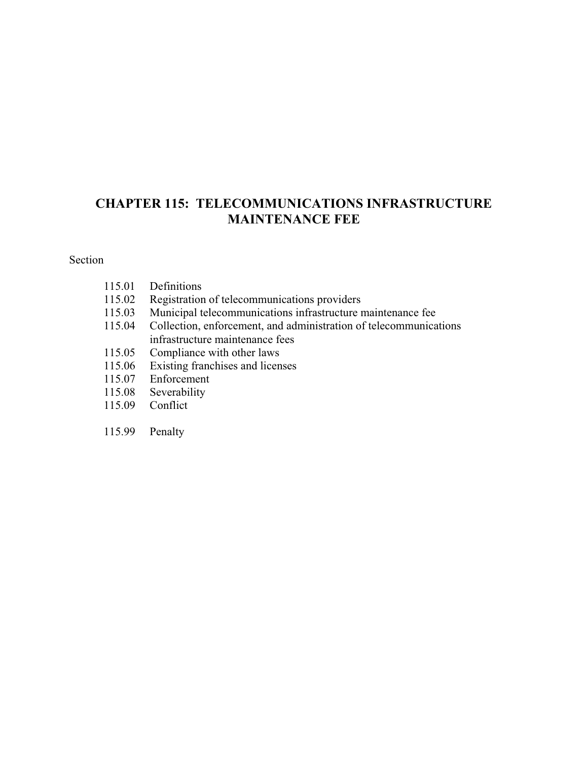### **CHAPTER 115: TELECOMMUNICATIONS IN A LINTEN ANCE FEE MAINTENANCE FEE**

#### Section

| 115.01 | Definitions                                                       |
|--------|-------------------------------------------------------------------|
| 115.02 | Registration of telecommunications providers                      |
| 115.03 | Municipal telecommunications infrastructure maintenance fee       |
| 115.04 | Collection, enforcement, and administration of telecommunications |
|        | infrastructure maintenance fees                                   |
| 115.05 | Compliance with other laws                                        |
| 115.06 | Existing franchises and licenses                                  |
| 115.07 | Enforcement                                                       |
| 115.08 | Severability                                                      |
| 115.09 | Conflict                                                          |
|        |                                                                   |
| 115.99 | Penalty                                                           |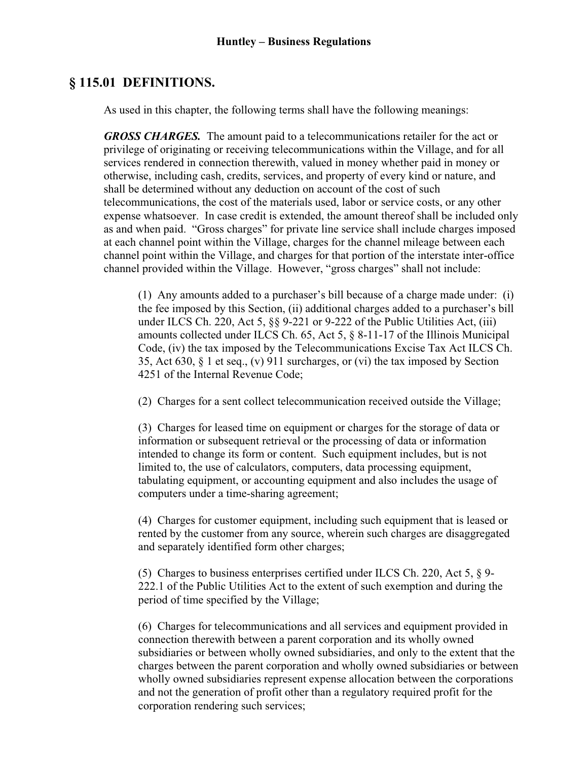### **§ 115.01 DEFINITIONS.**

As used in this chapter, the following terms shall have the following meanings:

*GROSS CHARGES.* The amount paid to a telecommunications retailer for the act or privilege of originating or receiving telecommunications within the Village, and for all services rendered in connection therewith, valued in money whether paid in money or otherwise, including cash, credits, services, and property of every kind or nature, and shall be determined without any deduction on account of the cost of such telecommunications, the cost of the materials used, labor or service costs, or any other expense whatsoever. In case credit is extended, the amount thereof shall be included only as and when paid. "Gross charges" for private line service shall include charges imposed at each channel point within the Village, charges for the channel mileage between each channel point within the Village, and charges for that portion of the interstate inter-office channel provided within the Village. However, "gross charges" shall not include:

(1) Any amounts added to a purchaser's bill because of a charge made under: (i) the fee imposed by this Section, (ii) additional charges added to a purchaser's bill under ILCS Ch. 220, Act 5, §§ 9-221 or 9-222 of the Public Utilities Act, (iii) amounts collected under ILCS Ch. 65, Act 5, § 8-11-17 of the Illinois Municipal Code, (iv) the tax imposed by the Telecommunications Excise Tax Act ILCS Ch. 35, Act 630, § 1 et seq., (v) 911 surcharges, or (vi) the tax imposed by Section 4251 of the Internal Revenue Code;

(2) Charges for a sent collect telecommunication received outside the Village;

(3) Charges for leased time on equipment or charges for the storage of data or information or subsequent retrieval or the processing of data or information intended to change its form or content. Such equipment includes, but is not limited to, the use of calculators, computers, data processing equipment, tabulating equipment, or accounting equipment and also includes the usage of computers under a time-sharing agreement;

(4) Charges for customer equipment, including such equipment that is leased or rented by the customer from any source, wherein such charges are disaggregated and separately identified form other charges;

(5) Charges to business enterprises certified under ILCS Ch. 220, Act 5, § 9- 222.1 of the Public Utilities Act to the extent of such exemption and during the period of time specified by the Village;

(6) Charges for telecommunications and all services and equipment provided in connection therewith between a parent corporation and its wholly owned subsidiaries or between wholly owned subsidiaries, and only to the extent that the charges between the parent corporation and wholly owned subsidiaries or between wholly owned subsidiaries represent expense allocation between the corporations and not the generation of profit other than a regulatory required profit for the corporation rendering such services;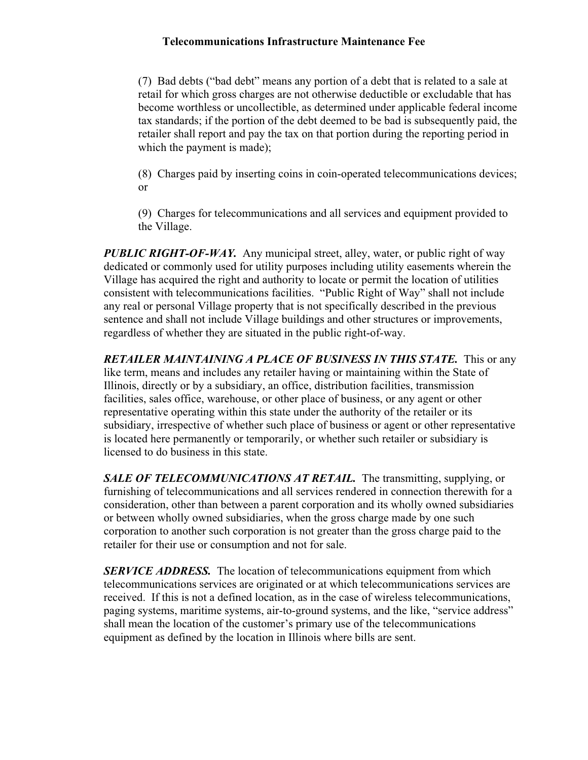## **Telecommunications Infrastructure Maintenance Fee**

(7) Bad debts ("bad debt" means any portion of a debt that is related to a sale at retail for which gross charges are not otherwise deductible or excludable that has become worthless or uncollectible, as determined under applicable federal income tax standards; if the portion of the debt deemed to be bad is subsequently paid, the retailer shall report and pay the tax on that portion during the reporting period in which the payment is made);

(8) Charges paid by inserting coins in coin-operated telecommunications devices; or

(9) Charges for telecommunications and all services and equipment provided to the Village.

*PUBLIC RIGHT-OF-WAY.* Any municipal street, alley, water, or public right of way dedicated or commonly used for utility purposes including utility easements wherein the Village has acquired the right and authority to locate or permit the location of utilities consistent with telecommunications facilities. "Public Right of Way" shall not include any real or personal Village property that is not specifically described in the previous sentence and shall not include Village buildings and other structures or improvements, regardless of whether they are situated in the public right-of-way.

*RETAILER MAINTAINING A PLACE OF BUSINESS IN THIS STATE.* This or any like term, means and includes any retailer having or maintaining within the State of Illinois, directly or by a subsidiary, an office, distribution facilities, transmission facilities, sales office, warehouse, or other place of business, or any agent or other representative operating within this state under the authority of the retailer or its subsidiary, irrespective of whether such place of business or agent or other representative is located here permanently or temporarily, or whether such retailer or subsidiary is licensed to do business in this state.

*SALE OF TELECOMMUNICATIONS AT RETAIL.* The transmitting, supplying, or furnishing of telecommunications and all services rendered in connection therewith for a consideration, other than between a parent corporation and its wholly owned subsidiaries or between wholly owned subsidiaries, when the gross charge made by one such corporation to another such corporation is not greater than the gross charge paid to the retailer for their use or consumption and not for sale.

*SERVICE ADDRESS.* The location of telecommunications equipment from which telecommunications services are originated or at which telecommunications services are received. If this is not a defined location, as in the case of wireless telecommunications, paging systems, maritime systems, air-to-ground systems, and the like, "service address" shall mean the location of the customer's primary use of the telecommunications equipment as defined by the location in Illinois where bills are sent.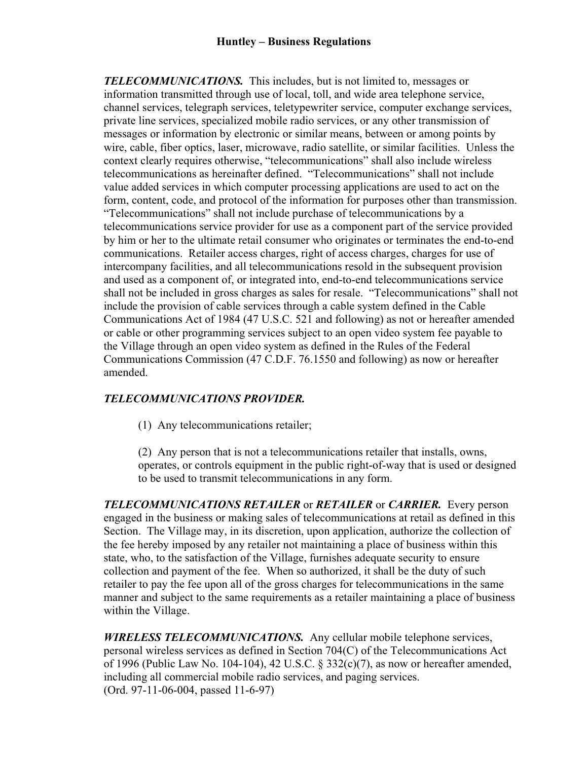*TELECOMMUNICATIONS.* This includes, but is not limited to, messages or information transmitted through use of local, toll, and wide area telephone service, channel services, telegraph services, teletypewriter service, computer exchange services, private line services, specialized mobile radio services, or any other transmission of messages or information by electronic or similar means, between or among points by wire, cable, fiber optics, laser, microwave, radio satellite, or similar facilities. Unless the context clearly requires otherwise, "telecommunications" shall also include wireless telecommunications as hereinafter defined. "Telecommunications" shall not include value added services in which computer processing applications are used to act on the form, content, code, and protocol of the information for purposes other than transmission. "Telecommunications" shall not include purchase of telecommunications by a telecommunications service provider for use as a component part of the service provided by him or her to the ultimate retail consumer who originates or terminates the end-to-end communications. Retailer access charges, right of access charges, charges for use of intercompany facilities, and all telecommunications resold in the subsequent provision and used as a component of, or integrated into, end-to-end telecommunications service shall not be included in gross charges as sales for resale. "Telecommunications" shall not include the provision of cable services through a cable system defined in the Cable Communications Act of 1984 (47 U.S.C. 521 and following) as not or hereafter amended or cable or other programming services subject to an open video system fee payable to the Village through an open video system as defined in the Rules of the Federal Communications Commission (47 C.D.F. 76.1550 and following) as now or hereafter amended.

#### *TELECOMMUNICATIONS PROVIDER.*

(1) Any telecommunications retailer;

(2) Any person that is not a telecommunications retailer that installs, owns, operates, or controls equipment in the public right-of-way that is used or designed to be used to transmit telecommunications in any form.

*TELECOMMUNICATIONS RETAILER* or *RETAILER* or *CARRIER.* Every person engaged in the business or making sales of telecommunications at retail as defined in this Section. The Village may, in its discretion, upon application, authorize the collection of the fee hereby imposed by any retailer not maintaining a place of business within this state, who, to the satisfaction of the Village, furnishes adequate security to ensure collection and payment of the fee. When so authorized, it shall be the duty of such retailer to pay the fee upon all of the gross charges for telecommunications in the same manner and subject to the same requirements as a retailer maintaining a place of business within the Village.

*WIRELESS TELECOMMUNICATIONS.* Any cellular mobile telephone services, personal wireless services as defined in Section 704(C) of the Telecommunications Act of 1996 (Public Law No. 104-104), 42 U.S.C. § 332(c)(7), as now or hereafter amended, including all commercial mobile radio services, and paging services. (Ord. 97-11-06-004, passed 11-6-97)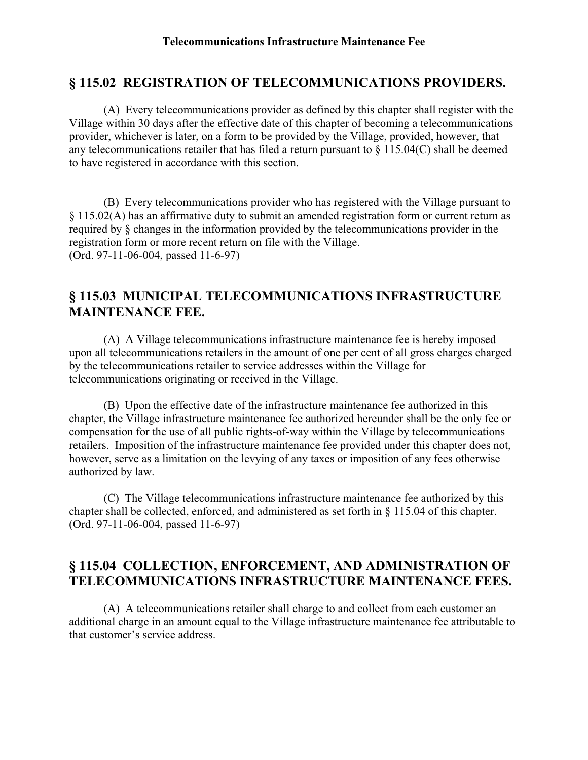#### **§ 115.02 REGISTRATION OF TELECOMMUNICATIONS PROVIDERS.**

 (A) Every telecommunications provider as defined by this chapter shall register with the Village within 30 days after the effective date of this chapter of becoming a telecommunications provider, whichever is later, on a form to be provided by the Village, provided, however, that any telecommunications retailer that has filed a return pursuant to § 115.04(C) shall be deemed to have registered in accordance with this section.

 (B) Every telecommunications provider who has registered with the Village pursuant to § 115.02(A) has an affirmative duty to submit an amended registration form or current return as required by § changes in the information provided by the telecommunications provider in the registration form or more recent return on file with the Village. (Ord. 97-11-06-004, passed 11-6-97)

### **§ 115.03 MUNICIPAL TELECOMMUNICATIONS INFRASTRUCTURE MAINTENANCE FEE.**

 (A) A Village telecommunications infrastructure maintenance fee is hereby imposed upon all telecommunications retailers in the amount of one per cent of all gross charges charged by the telecommunications retailer to service addresses within the Village for telecommunications originating or received in the Village.

 (B) Upon the effective date of the infrastructure maintenance fee authorized in this chapter, the Village infrastructure maintenance fee authorized hereunder shall be the only fee or compensation for the use of all public rights-of-way within the Village by telecommunications retailers. Imposition of the infrastructure maintenance fee provided under this chapter does not, however, serve as a limitation on the levying of any taxes or imposition of any fees otherwise authorized by law.

 (C) The Village telecommunications infrastructure maintenance fee authorized by this chapter shall be collected, enforced, and administered as set forth in § 115.04 of this chapter. (Ord. 97-11-06-004, passed 11-6-97)

### **§ 115.04 COLLECTION, ENFORCEMENT, AND ADMINISTRATION OF TELECOMMUNICATIONS INFRASTRUCTURE MAINTENANCE FEES.**

 (A) A telecommunications retailer shall charge to and collect from each customer an additional charge in an amount equal to the Village infrastructure maintenance fee attributable to that customer's service address.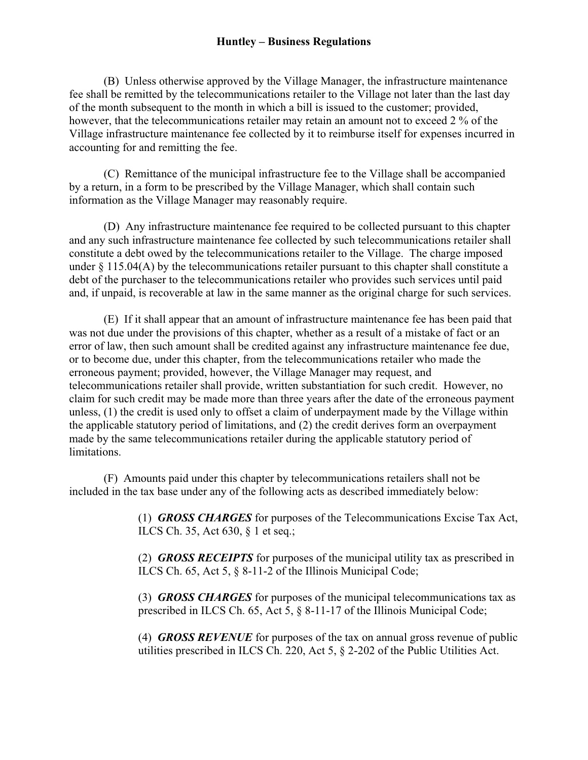#### **Huntley – Business Regulations**

 (B) Unless otherwise approved by the Village Manager, the infrastructure maintenance fee shall be remitted by the telecommunications retailer to the Village not later than the last day of the month subsequent to the month in which a bill is issued to the customer; provided, however, that the telecommunications retailer may retain an amount not to exceed 2 % of the Village infrastructure maintenance fee collected by it to reimburse itself for expenses incurred in accounting for and remitting the fee.

 (C) Remittance of the municipal infrastructure fee to the Village shall be accompanied by a return, in a form to be prescribed by the Village Manager, which shall contain such information as the Village Manager may reasonably require.

 (D) Any infrastructure maintenance fee required to be collected pursuant to this chapter and any such infrastructure maintenance fee collected by such telecommunications retailer shall constitute a debt owed by the telecommunications retailer to the Village. The charge imposed under § 115.04(A) by the telecommunications retailer pursuant to this chapter shall constitute a debt of the purchaser to the telecommunications retailer who provides such services until paid and, if unpaid, is recoverable at law in the same manner as the original charge for such services.

 (E) If it shall appear that an amount of infrastructure maintenance fee has been paid that was not due under the provisions of this chapter, whether as a result of a mistake of fact or an error of law, then such amount shall be credited against any infrastructure maintenance fee due, or to become due, under this chapter, from the telecommunications retailer who made the erroneous payment; provided, however, the Village Manager may request, and telecommunications retailer shall provide, written substantiation for such credit. However, no claim for such credit may be made more than three years after the date of the erroneous payment unless, (1) the credit is used only to offset a claim of underpayment made by the Village within the applicable statutory period of limitations, and (2) the credit derives form an overpayment made by the same telecommunications retailer during the applicable statutory period of limitations.

 (F) Amounts paid under this chapter by telecommunications retailers shall not be included in the tax base under any of the following acts as described immediately below:

> (1) *GROSS CHARGES* for purposes of the Telecommunications Excise Tax Act, ILCS Ch. 35, Act 630, § 1 et seq.;

> (2) *GROSS RECEIPTS* for purposes of the municipal utility tax as prescribed in ILCS Ch. 65, Act 5, § 8-11-2 of the Illinois Municipal Code;

> (3) *GROSS CHARGES* for purposes of the municipal telecommunications tax as prescribed in ILCS Ch. 65, Act 5, § 8-11-17 of the Illinois Municipal Code;

> (4) *GROSS REVENUE* for purposes of the tax on annual gross revenue of public utilities prescribed in ILCS Ch. 220, Act 5, § 2-202 of the Public Utilities Act.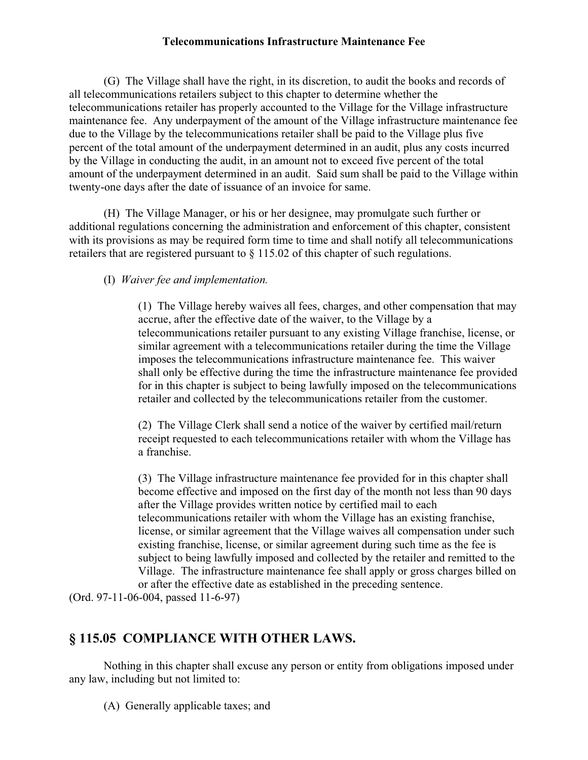## **Telecommunications Infrastructure Maintenance Fee**

 (G) The Village shall have the right, in its discretion, to audit the books and records of all telecommunications retailers subject to this chapter to determine whether the telecommunications retailer has properly accounted to the Village for the Village infrastructure maintenance fee. Any underpayment of the amount of the Village infrastructure maintenance fee due to the Village by the telecommunications retailer shall be paid to the Village plus five percent of the total amount of the underpayment determined in an audit, plus any costs incurred by the Village in conducting the audit, in an amount not to exceed five percent of the total amount of the underpayment determined in an audit. Said sum shall be paid to the Village within twenty-one days after the date of issuance of an invoice for same.

 (H) The Village Manager, or his or her designee, may promulgate such further or additional regulations concerning the administration and enforcement of this chapter, consistent with its provisions as may be required form time to time and shall notify all telecommunications retailers that are registered pursuant to § 115.02 of this chapter of such regulations.

(I) *Waiver fee and implementation.* 

(1) The Village hereby waives all fees, charges, and other compensation that may accrue, after the effective date of the waiver, to the Village by a telecommunications retailer pursuant to any existing Village franchise, license, or similar agreement with a telecommunications retailer during the time the Village imposes the telecommunications infrastructure maintenance fee. This waiver shall only be effective during the time the infrastructure maintenance fee provided for in this chapter is subject to being lawfully imposed on the telecommunications retailer and collected by the telecommunications retailer from the customer.

(2) The Village Clerk shall send a notice of the waiver by certified mail/return receipt requested to each telecommunications retailer with whom the Village has a franchise.

(3) The Village infrastructure maintenance fee provided for in this chapter shall become effective and imposed on the first day of the month not less than 90 days after the Village provides written notice by certified mail to each telecommunications retailer with whom the Village has an existing franchise, license, or similar agreement that the Village waives all compensation under such existing franchise, license, or similar agreement during such time as the fee is subject to being lawfully imposed and collected by the retailer and remitted to the Village. The infrastructure maintenance fee shall apply or gross charges billed on or after the effective date as established in the preceding sentence.

(Ord. 97-11-06-004, passed 11-6-97)

# **§ 115.05 COMPLIANCE WITH OTHER LAWS.**

 Nothing in this chapter shall excuse any person or entity from obligations imposed under any law, including but not limited to:

(A) Generally applicable taxes; and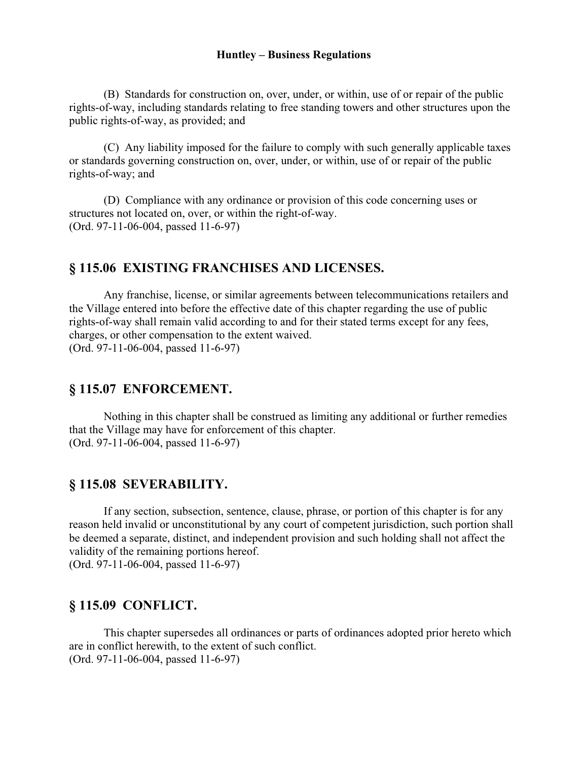### **Huntley – Business Regulations**

 (B) Standards for construction on, over, under, or within, use of or repair of the public rights-of-way, including standards relating to free standing towers and other structures upon the public rights-of-way, as provided; and

 (C) Any liability imposed for the failure to comply with such generally applicable taxes or standards governing construction on, over, under, or within, use of or repair of the public rights-of-way; and

 (D) Compliance with any ordinance or provision of this code concerning uses or structures not located on, over, or within the right-of-way. (Ord. 97-11-06-004, passed 11-6-97)

# **§ 115.06 EXISTING FRANCHISES AND LICENSES.**

 Any franchise, license, or similar agreements between telecommunications retailers and the Village entered into before the effective date of this chapter regarding the use of public rights-of-way shall remain valid according to and for their stated terms except for any fees, charges, or other compensation to the extent waived. (Ord. 97-11-06-004, passed 11-6-97)

#### **§ 115.07 ENFORCEMENT.**

 Nothing in this chapter shall be construed as limiting any additional or further remedies that the Village may have for enforcement of this chapter. (Ord. 97-11-06-004, passed 11-6-97)

### **§ 115.08 SEVERABILITY.**

 If any section, subsection, sentence, clause, phrase, or portion of this chapter is for any reason held invalid or unconstitutional by any court of competent jurisdiction, such portion shall be deemed a separate, distinct, and independent provision and such holding shall not affect the validity of the remaining portions hereof. (Ord. 97-11-06-004, passed 11-6-97)

#### **§ 115.09 CONFLICT.**

 This chapter supersedes all ordinances or parts of ordinances adopted prior hereto which are in conflict herewith, to the extent of such conflict. (Ord. 97-11-06-004, passed 11-6-97)